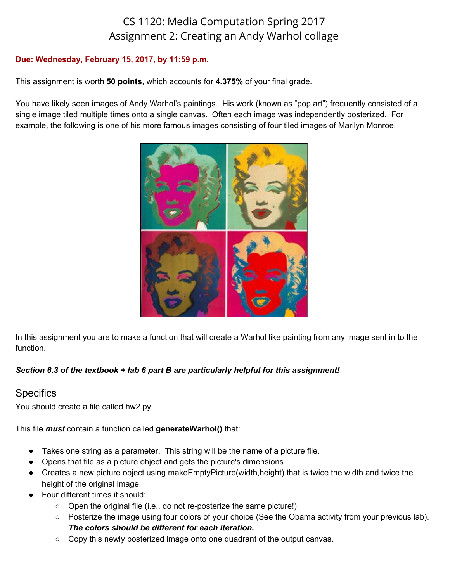# CS 1120: Media Computation Spring 2017 Assignment 2: Creating an Andy Warhol collage

#### **Due: Wednesday, February 15, 2017, by 11:59 p.m.**

This assignment is worth **50 points**, which accounts for **4.375%** of your final grade.

You have likely seen images of Andy Warhol's paintings. His work (known as "pop art") frequently consisted of a single image tiled multiple times onto a single canvas. Often each image was independently posterized. For example, the following is one of his more famous images consisting of four tiled images of Marilyn Monroe.



In this assignment you are to make a function that will create a Warhol like painting from any image sent in to the function.

#### *Section 6.3 of the textbook + lab 6 part B are particularly helpful for this assignment!*

### **Specifics**

You should create a file called hw2.py

This file *must* contain a function called **generateWarhol()** that:

- Takes one string as a parameter. This string will be the name of a picture file.
- Opens that file as a picture object and gets the picture's dimensions
- Creates a new picture object using makeEmptyPicture(width,height) that is twice the width and twice the height of the original image.
- Four different times it should:
	- Open the original file (i.e., do not re-posterize the same picture!)
	- Posterize the image using four colors of your choice (See the Obama activity from your previous lab). *The colors should be different for each iteration.*
	- $\circ$  Copy this newly posterized image onto one quadrant of the output canvas.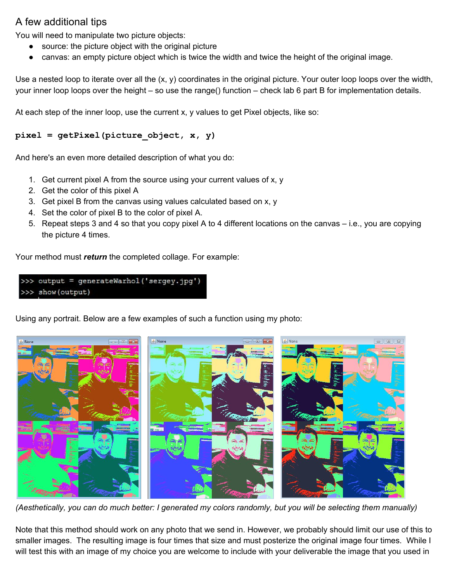# A few additional tips

You will need to manipulate two picture objects:

- source: the picture object with the original picture
- canvas: an empty picture object which is twice the width and twice the height of the original image.

Use a nested loop to iterate over all the (x, y) coordinates in the original picture. Your outer loop loops over the width, your inner loop loops over the height – so use the range() function – check lab 6 part B for implementation details.

At each step of the inner loop, use the current x, y values to get Pixel objects, like so:

### **pixel = getPixel(picture\_object, x, y)**

And here's an even more detailed description of what you do:

- 1. Get current pixel A from the source using your current values of x, y
- 2. Get the color of this pixel A
- 3. Get pixel B from the canvas using values calculated based on x, y
- 4. Set the color of pixel B to the color of pixel A.
- 5. Repeat steps 3 and 4 so that you copy pixel A to 4 different locations on the canvas i.e., you are copying the picture 4 times.

Your method must *return* the completed collage. For example:

```
>>> output = generateWarhol('sergey.jpg')
>>> show (output)
```
Using any portrait. Below are a few examples of such a function using my photo:



*(Aesthetically, you can do much better: I generated my colors randomly, but you will be selecting them manually)*

Note that this method should work on any photo that we send in. However, we probably should limit our use of this to smaller images. The resulting image is four times that size and must posterize the original image four times. While I will test this with an image of my choice you are welcome to include with your deliverable the image that you used in